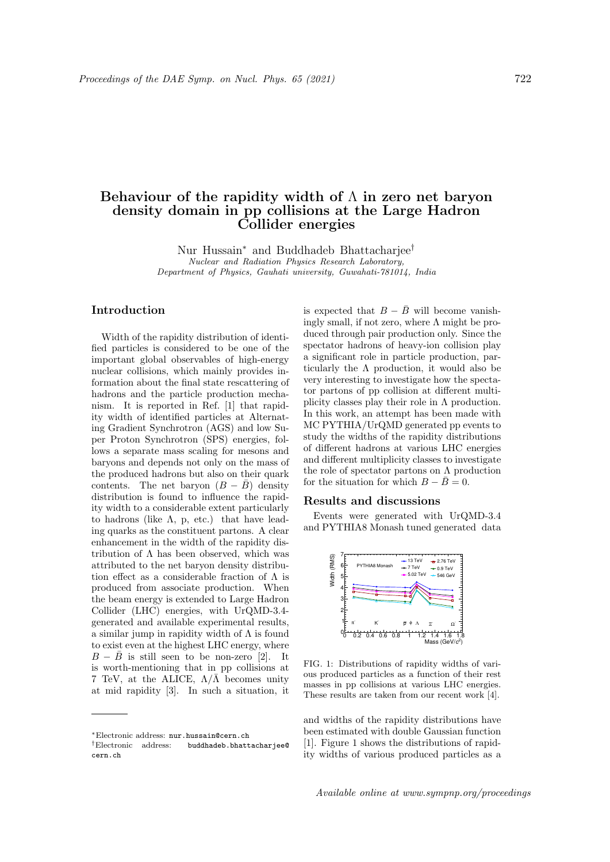## Behaviour of the rapidity width of  $\Lambda$  in zero net baryon density domain in pp collisions at the Large Hadron Collider energies

Nur Hussain<sup>∗</sup> and Buddhadeb Bhattacharjee† Nuclear and Radiation Physics Research Laboratory, Department of Physics, Gauhati university, Guwahati-781014, India

## Introduction

Width of the rapidity distribution of identified particles is considered to be one of the important global observables of high-energy nuclear collisions, which mainly provides information about the final state rescattering of hadrons and the particle production mechanism. It is reported in Ref. [1] that rapidity width of identified particles at Alternating Gradient Synchrotron (AGS) and low Super Proton Synchrotron (SPS) energies, follows a separate mass scaling for mesons and baryons and depends not only on the mass of the produced hadrons but also on their quark contents. The net baryon  $(B - \bar{B})$  density distribution is found to influence the rapidity width to a considerable extent particularly to hadrons (like  $\Lambda$ , p, etc.) that have leading quarks as the constituent partons. A clear enhancement in the width of the rapidity distribution of  $\Lambda$  has been observed, which was attributed to the net baryon density distribution effect as a considerable fraction of  $\Lambda$  is produced from associate production. When the beam energy is extended to Large Hadron Collider (LHC) energies, with UrQMD-3.4 generated and available experimental results, a similar jump in rapidity width of  $\Lambda$  is found to exist even at the highest LHC energy, where  $B - \bar{B}$  is still seen to be non-zero [2]. It is worth-mentioning that in pp collisions at 7 TeV, at the ALICE,  $\Lambda/\bar{\Lambda}$  becomes unity at mid rapidity [3]. In such a situation, it

is expected that  $B - \bar{B}$  will become vanishingly small, if not zero, where  $\Lambda$  might be produced through pair production only. Since the spectator hadrons of heavy-ion collision play a significant role in particle production, particularly the  $\Lambda$  production, it would also be very interesting to investigate how the spectator partons of pp collision at different multiplicity classes play their role in  $\Lambda$  production. In this work, an attempt has been made with MC PYTHIA/UrQMD generated pp events to study the widths of the rapidity distributions of different hadrons at various LHC energies and different multiplicity classes to investigate the role of spectator partons on  $\Lambda$  production for the situation for which  $B - \bar{B} = 0$ .

## Results and discussions

Events were generated with UrQMD-3.4 and PYTHIA8 Monash tuned generated data



FIG. 1: Distributions of rapidity widths of various produced particles as a function of their rest masses in pp collisions at various LHC energies. These results are taken from our recent work [4].

and widths of the rapidity distributions have been estimated with double Gaussian function [1]. Figure 1 shows the distributions of rapidity widths of various produced particles as a

<sup>∗</sup>Electronic address: nur.hussain@cern.ch

<sup>†</sup>Electronic address: buddhadeb.bhattacharjee@ cern.ch